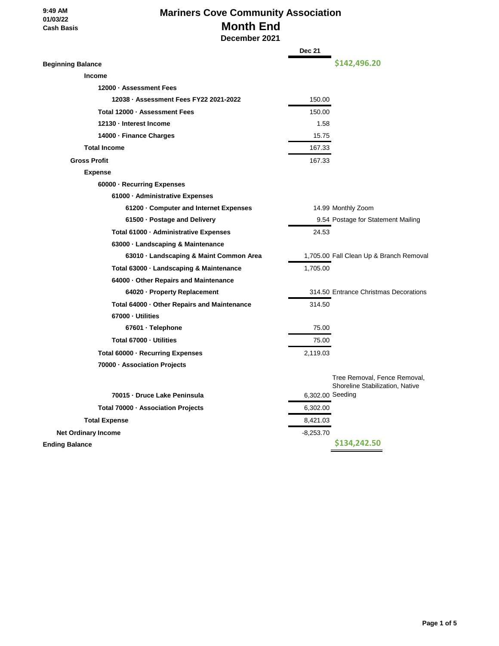#### **9:49 AM 01/03/22 Cash Basis**

## **Mariners Cove Community Association Month End**

 **December 2021**

|                                             | <b>Dec 21</b>    |                                         |
|---------------------------------------------|------------------|-----------------------------------------|
| <b>Beginning Balance</b>                    |                  | \$142,496.20                            |
| <b>Income</b>                               |                  |                                         |
| 12000 · Assessment Fees                     |                  |                                         |
| 12038 · Assessment Fees FY22 2021-2022      | 150.00           |                                         |
| Total 12000 - Assessment Fees               | 150.00           |                                         |
| 12130 - Interest Income                     | 1.58             |                                         |
| 14000 · Finance Charges                     | 15.75            |                                         |
| <b>Total Income</b>                         | 167.33           |                                         |
| <b>Gross Profit</b>                         | 167.33           |                                         |
| <b>Expense</b>                              |                  |                                         |
| 60000 · Recurring Expenses                  |                  |                                         |
| 61000 · Administrative Expenses             |                  |                                         |
| 61200 G Computer and Internet Expenses      |                  | 14.99 Monthly Zoom                      |
| 61500 · Postage and Delivery                |                  | 9.54 Postage for Statement Mailing      |
| Total 61000 · Administrative Expenses       | 24.53            |                                         |
| 63000 · Landscaping & Maintenance           |                  |                                         |
| 63010 · Landscaping & Maint Common Area     |                  | 1,705.00 Fall Clean Up & Branch Removal |
| Total 63000 · Landscaping & Maintenance     | 1,705.00         |                                         |
| 64000 Other Repairs and Maintenance         |                  |                                         |
| 64020 · Property Replacement                |                  | 314.50 Entrance Christmas Decorations   |
| Total 64000 · Other Repairs and Maintenance | 314.50           |                                         |
| 67000 - Utilities                           |                  |                                         |
| 67601 · Telephone                           | 75.00            |                                         |
| Total 67000 - Utilities                     | 75.00            |                                         |
| Total 60000 · Recurring Expenses            | 2,119.03         |                                         |
| 70000 · Association Projects                |                  |                                         |
|                                             |                  | Tree Removal, Fence Removal,            |
| 70015 - Druce Lake Peninsula                | 6,302.00 Seeding | Shoreline Stabilization, Native         |
|                                             |                  |                                         |
| Total 70000 · Association Projects          | 6,302.00         |                                         |
| <b>Total Expense</b>                        | 8,421.03         |                                         |
| <b>Net Ordinary Income</b>                  | $-8,253.70$      | \$134,242.50                            |
| <b>Ending Balance</b>                       |                  |                                         |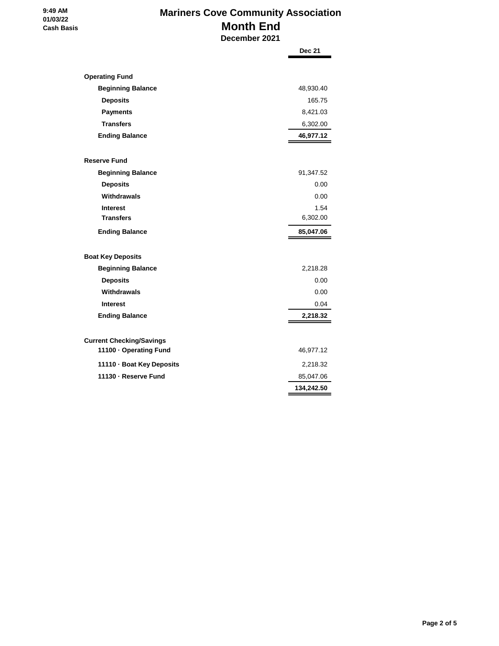#### **9:49 AM 01/03/22 Cash Basis**

# **Mariners Cove Community Association Month End**

 **December 2021**

|                                                           | <b>Dec 21</b> |
|-----------------------------------------------------------|---------------|
|                                                           |               |
| <b>Operating Fund</b>                                     |               |
| <b>Beginning Balance</b>                                  | 48,930.40     |
| <b>Deposits</b>                                           | 165.75        |
| <b>Payments</b>                                           | 8,421.03      |
| <b>Transfers</b>                                          | 6,302.00      |
| <b>Ending Balance</b>                                     | 46,977.12     |
| <b>Reserve Fund</b>                                       |               |
| <b>Beginning Balance</b>                                  | 91,347.52     |
| <b>Deposits</b>                                           | 0.00          |
| Withdrawals                                               | 0.00          |
| <b>Interest</b>                                           | 1.54          |
| <b>Transfers</b>                                          | 6,302.00      |
| <b>Ending Balance</b>                                     | 85,047.06     |
| <b>Boat Key Deposits</b>                                  |               |
|                                                           | 2,218.28      |
| <b>Beginning Balance</b><br><b>Deposits</b>               | 0.00          |
| Withdrawals                                               | 0.00          |
| <b>Interest</b>                                           | 0.04          |
| <b>Ending Balance</b>                                     | 2,218.32      |
|                                                           |               |
|                                                           |               |
| <b>Current Checking/Savings</b><br>11100 · Operating Fund | 46,977.12     |
| 11110 · Boat Key Deposits                                 | 2,218.32      |
| 11130 - Reserve Fund                                      | 85,047.06     |
|                                                           | 134,242.50    |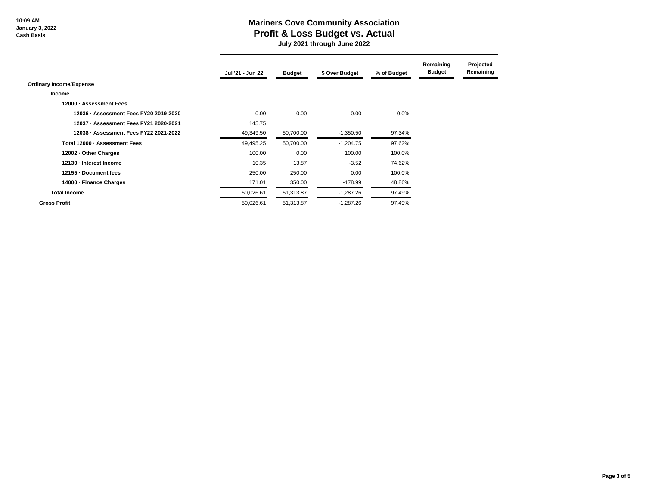**10:09 AM January 3, 2022 Cash Basis**

### **Mariners Cove Community Association Profit & Loss Budget vs. Actual**

 **July 2021 through June 2022**

|                                        | Jul '21 - Jun 22 | <b>Budget</b> | \$ Over Budget | % of Budget | Remaining<br><b>Budget</b> | Projected<br>Remaining |
|----------------------------------------|------------------|---------------|----------------|-------------|----------------------------|------------------------|
| <b>Ordinary Income/Expense</b>         |                  |               |                |             |                            |                        |
| <b>Income</b>                          |                  |               |                |             |                            |                        |
| 12000 - Assessment Fees                |                  |               |                |             |                            |                        |
| 12036 - Assessment Fees FY20 2019-2020 | 0.00             | 0.00          | 0.00           | $0.0\%$     |                            |                        |
| 12037 - Assessment Fees FY21 2020-2021 | 145.75           |               |                |             |                            |                        |
| 12038 - Assessment Fees FY22 2021-2022 | 49,349.50        | 50,700.00     | $-1,350.50$    | 97.34%      |                            |                        |
| Total 12000 - Assessment Fees          | 49,495.25        | 50,700.00     | $-1,204.75$    | 97.62%      |                            |                        |
| 12002 - Other Charges                  | 100.00           | 0.00          | 100.00         | 100.0%      |                            |                        |
| 12130 - Interest Income                | 10.35            | 13.87         | $-3.52$        | 74.62%      |                            |                        |
| 12155 Document fees                    | 250.00           | 250.00        | 0.00           | 100.0%      |                            |                        |
| 14000 - Finance Charges                | 171.01           | 350.00        | $-178.99$      | 48.86%      |                            |                        |
| <b>Total Income</b>                    | 50,026.61        | 51,313.87     | $-1,287.26$    | 97.49%      |                            |                        |
| <b>Gross Profit</b>                    | 50,026.61        | 51,313.87     | $-1,287.26$    | 97.49%      |                            |                        |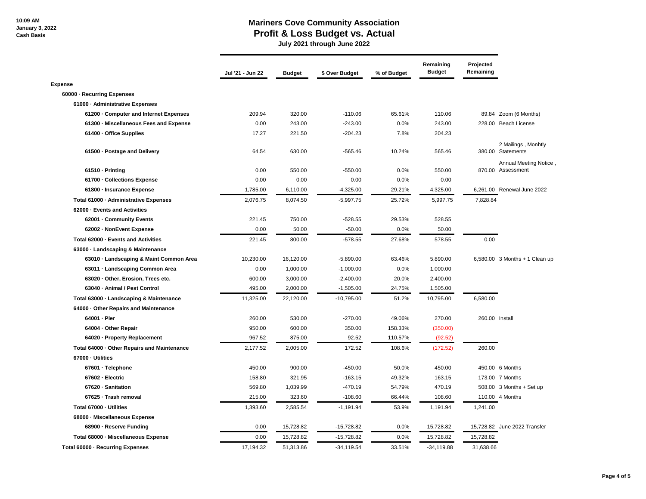### **Mariners Cove Community Association Profit & Loss Budget vs. Actual**

 **July 2021 through June 2022**

|                                             | Jul '21 - Jun 22 | <b>Budget</b> | \$ Over Budget | % of Budget | Remaining<br><b>Budget</b> | Projected<br>Remaining |                                             |
|---------------------------------------------|------------------|---------------|----------------|-------------|----------------------------|------------------------|---------------------------------------------|
| <b>Expense</b>                              |                  |               |                |             |                            |                        |                                             |
| 60000 - Recurring Expenses                  |                  |               |                |             |                            |                        |                                             |
| 61000 - Administrative Expenses             |                  |               |                |             |                            |                        |                                             |
| 61200 - Computer and Internet Expenses      | 209.94           | 320.00        | $-110.06$      | 65.61%      | 110.06                     |                        | 89.84 Zoom (6 Months)                       |
| 61300 - Miscellaneous Fees and Expense      | 0.00             | 243.00        | $-243.00$      | 0.0%        | 243.00                     |                        | 228.00 Beach License                        |
| 61400 - Office Supplies                     | 17.27            | 221.50        | $-204.23$      | 7.8%        | 204.23                     |                        |                                             |
| 61500 - Postage and Delivery                | 64.54            | 630.00        | $-565.46$      | 10.24%      | 565.46                     |                        | 2 Mailings, Monhtly<br>380.00 Statements    |
| 61510 - Printing                            | 0.00             | 550.00        | $-550.00$      | 0.0%        | 550.00                     |                        | Annual Meeting Notice,<br>870.00 Assessment |
| 61700 - Collections Expense                 | 0.00             | 0.00          | 0.00           | 0.0%        | 0.00                       |                        |                                             |
| 61800 - Insurance Expense                   | 1,785.00         | 6,110.00      | $-4,325.00$    | 29.21%      | 4,325.00                   |                        | 6,261.00 Renewal June 2022                  |
| Total 61000 - Administrative Expenses       | 2,076.75         | 8,074.50      | $-5,997.75$    | 25.72%      | 5,997.75                   | 7,828.84               |                                             |
| 62000 - Events and Activities               |                  |               |                |             |                            |                        |                                             |
| 62001 - Community Events                    | 221.45           | 750.00        | $-528.55$      | 29.53%      | 528.55                     |                        |                                             |
| 62002 - NonEvent Expense                    | 0.00             | 50.00         | $-50.00$       | 0.0%        | 50.00                      |                        |                                             |
| Total 62000 - Events and Activities         | 221.45           | 800.00        | $-578.55$      | 27.68%      | 578.55                     | 0.00                   |                                             |
| 63000 - Landscaping & Maintenance           |                  |               |                |             |                            |                        |                                             |
| 63010 - Landscaping & Maint Common Area     | 10,230.00        | 16,120.00     | $-5,890.00$    | 63.46%      | 5,890.00                   |                        | 6,580.00 3 Months + 1 Clean up              |
| 63011 - Landscaping Common Area             | 0.00             | 1,000.00      | $-1,000.00$    | 0.0%        | 1,000.00                   |                        |                                             |
| 63020 - Other, Erosion, Trees etc.          | 600.00           | 3,000.00      | $-2,400.00$    | 20.0%       | 2,400.00                   |                        |                                             |
| 63040 - Animal / Pest Control               | 495.00           | 2,000.00      | $-1,505.00$    | 24.75%      | 1,505.00                   |                        |                                             |
| Total 63000 - Landscaping & Maintenance     | 11,325.00        | 22,120.00     | $-10,795.00$   | 51.2%       | 10,795.00                  | 6,580.00               |                                             |
| 64000 - Other Repairs and Maintenance       |                  |               |                |             |                            |                        |                                             |
| 64001 - Pier                                | 260.00           | 530.00        | $-270.00$      | 49.06%      | 270.00                     | 260.00 Install         |                                             |
| 64004 - Other Repair                        | 950.00           | 600.00        | 350.00         | 158.33%     | (350.00)                   |                        |                                             |
| 64020 - Property Replacement                | 967.52           | 875.00        | 92.52          | 110.57%     | (92.52)                    |                        |                                             |
| Total 64000 - Other Repairs and Maintenance | 2,177.52         | 2,005.00      | 172.52         | 108.6%      | (172.52)                   | 260.00                 |                                             |
| 67000 - Utilities                           |                  |               |                |             |                            |                        |                                             |
| 67601 · Telephone                           | 450.00           | 900.00        | $-450.00$      | 50.0%       | 450.00                     |                        | 450.00 6 Months                             |
| 67602 Electric                              | 158.80           | 321.95        | $-163.15$      | 49.32%      | 163.15                     |                        | 173.00 7 Months                             |
| 67620 - Sanitation                          | 569.80           | 1,039.99      | $-470.19$      | 54.79%      | 470.19                     |                        | 508.00 3 Months + Set up                    |
| 67625 · Trash removal                       | 215.00           | 323.60        | $-108.60$      | 66.44%      | 108.60                     |                        | 110.00 4 Months                             |
| Total 67000 - Utilities                     | 1,393.60         | 2,585.54      | $-1,191.94$    | 53.9%       | 1,191.94                   | 1,241.00               |                                             |
| 68000 - Miscellaneous Expense               |                  |               |                |             |                            |                        |                                             |
| 68900 - Reserve Funding                     | 0.00             | 15,728.82     | $-15,728.82$   | 0.0%        | 15,728.82                  |                        | 15,728.82 June 2022 Transfer                |
| Total 68000 - Miscellaneous Expense         | 0.00             | 15,728.82     | $-15,728.82$   | 0.0%        | 15,728.82                  | 15,728.82              |                                             |
| Total 60000 - Recurring Expenses            | 17.194.32        | 51,313.86     | $-34, 119.54$  | 33.51%      | $-34,119.88$               | 31,638.66              |                                             |